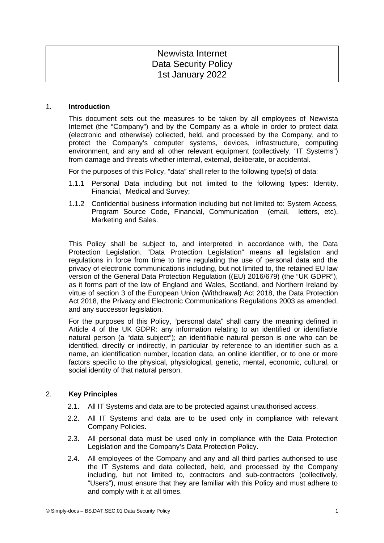# Newvista Internet Data Security Policy 1st January 2022

#### 1. **Introduction**

This document sets out the measures to be taken by all employees of Newvista Internet (the "Company") and by the Company as a whole in order to protect data (electronic and otherwise) collected, held, and processed by the Company, and to protect the Company's computer systems, devices, infrastructure, computing environment, and any and all other relevant equipment (collectively, "IT Systems") from damage and threats whether internal, external, deliberate, or accidental.

For the purposes of this Policy, "data" shall refer to the following type(s) of data:

- 1.1.1 Personal Data including but not limited to the following types: Identity, Financial, Medical and Survey;
- 1.1.2 Confidential business information including but not limited to: System Access, Program Source Code, Financial, Communication (email, letters, etc), Marketing and Sales.

This Policy shall be subject to, and interpreted in accordance with, the Data Protection Legislation. "Data Protection Legislation" means all legislation and regulations in force from time to time regulating the use of personal data and the privacy of electronic communications including, but not limited to, the retained EU law version of the General Data Protection Regulation ((EU) 2016/679) (the "UK GDPR"), as it forms part of the law of England and Wales, Scotland, and Northern Ireland by virtue of section 3 of the European Union (Withdrawal) Act 2018, the Data Protection Act 2018, the Privacy and Electronic Communications Regulations 2003 as amended, and any successor legislation.

For the purposes of this Policy, "personal data" shall carry the meaning defined in Article 4 of the UK GDPR: any information relating to an identified or identifiable natural person (a "data subject"); an identifiable natural person is one who can be identified, directly or indirectly, in particular by reference to an identifier such as a name, an identification number, location data, an online identifier, or to one or more factors specific to the physical, physiological, genetic, mental, economic, cultural, or social identity of that natural person.

# 2. **Key Principles**

- 2.1. All IT Systems and data are to be protected against unauthorised access.
- 2.2. All IT Systems and data are to be used only in compliance with relevant Company Policies.
- 2.3. All personal data must be used only in compliance with the Data Protection Legislation and the Company's Data Protection Policy.
- 2.4. All employees of the Company and any and all third parties authorised to use the IT Systems and data collected, held, and processed by the Company including, but not limited to, contractors and sub-contractors (collectively, "Users"), must ensure that they are familiar with this Policy and must adhere to and comply with it at all times.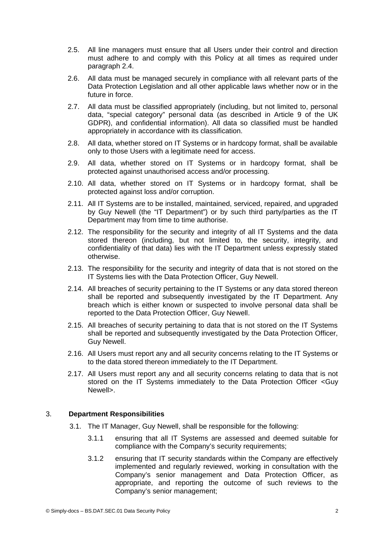- 2.5. All line managers must ensure that all Users under their control and direction must adhere to and comply with this Policy at all times as required under paragraph 2.4.
- 2.6. All data must be managed securely in compliance with all relevant parts of the Data Protection Legislation and all other applicable laws whether now or in the future in force.
- 2.7. All data must be classified appropriately (including, but not limited to, personal data, "special category" personal data (as described in Article 9 of the UK GDPR), and confidential information). All data so classified must be handled appropriately in accordance with its classification.
- 2.8. All data, whether stored on IT Systems or in hardcopy format, shall be available only to those Users with a legitimate need for access.
- 2.9. All data, whether stored on IT Systems or in hardcopy format, shall be protected against unauthorised access and/or processing.
- 2.10. All data, whether stored on IT Systems or in hardcopy format, shall be protected against loss and/or corruption.
- 2.11. All IT Systems are to be installed, maintained, serviced, repaired, and upgraded by Guy Newell (the "IT Department") or by such third party/parties as the IT Department may from time to time authorise.
- 2.12. The responsibility for the security and integrity of all IT Systems and the data stored thereon (including, but not limited to, the security, integrity, and confidentiality of that data) lies with the IT Department unless expressly stated otherwise.
- 2.13. The responsibility for the security and integrity of data that is not stored on the IT Systems lies with the Data Protection Officer, Guy Newell.
- 2.14. All breaches of security pertaining to the IT Systems or any data stored thereon shall be reported and subsequently investigated by the IT Department. Any breach which is either known or suspected to involve personal data shall be reported to the Data Protection Officer, Guy Newell.
- 2.15. All breaches of security pertaining to data that is not stored on the IT Systems shall be reported and subsequently investigated by the Data Protection Officer, Guy Newell.
- 2.16. All Users must report any and all security concerns relating to the IT Systems or to the data stored thereon immediately to the IT Department.
- 2.17. All Users must report any and all security concerns relating to data that is not stored on the IT Systems immediately to the Data Protection Officer <Guy Newell>.

# 3. **Department Responsibilities**

- 3.1. The IT Manager, Guy Newell, shall be responsible for the following:
	- 3.1.1 ensuring that all IT Systems are assessed and deemed suitable for compliance with the Company's security requirements;
	- 3.1.2 ensuring that IT security standards within the Company are effectively implemented and regularly reviewed, working in consultation with the Company's senior management and Data Protection Officer, as appropriate, and reporting the outcome of such reviews to the Company's senior management;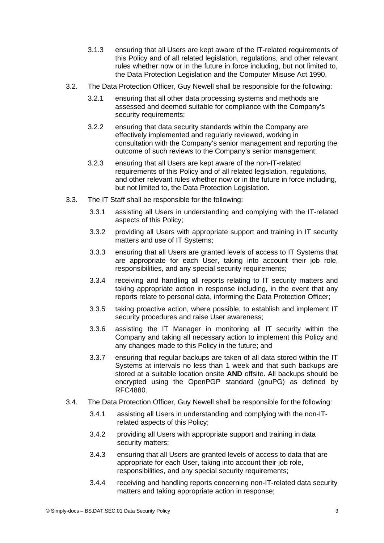- 3.1.3 ensuring that all Users are kept aware of the IT-related requirements of this Policy and of all related legislation, regulations, and other relevant rules whether now or in the future in force including, but not limited to, the Data Protection Legislation and the Computer Misuse Act 1990.
- 3.2. The Data Protection Officer, Guy Newell shall be responsible for the following:
	- 3.2.1 ensuring that all other data processing systems and methods are assessed and deemed suitable for compliance with the Company's security requirements;
	- 3.2.2 ensuring that data security standards within the Company are effectively implemented and regularly reviewed, working in consultation with the Company's senior management and reporting the outcome of such reviews to the Company's senior management;
	- 3.2.3 ensuring that all Users are kept aware of the non-IT-related requirements of this Policy and of all related legislation, regulations, and other relevant rules whether now or in the future in force including, but not limited to, the Data Protection Legislation.
- 3.3. The IT Staff shall be responsible for the following:
	- 3.3.1 assisting all Users in understanding and complying with the IT-related aspects of this Policy;
	- 3.3.2 providing all Users with appropriate support and training in IT security matters and use of IT Systems;
	- 3.3.3 ensuring that all Users are granted levels of access to IT Systems that are appropriate for each User, taking into account their job role, responsibilities, and any special security requirements;
	- 3.3.4 receiving and handling all reports relating to IT security matters and taking appropriate action in response including, in the event that any reports relate to personal data, informing the Data Protection Officer;
	- 3.3.5 taking proactive action, where possible, to establish and implement IT security procedures and raise User awareness;
	- 3.3.6 assisting the IT Manager in monitoring all IT security within the Company and taking all necessary action to implement this Policy and any changes made to this Policy in the future; and
	- 3.3.7 ensuring that regular backups are taken of all data stored within the IT Systems at intervals no less than 1 week and that such backups are stored at a suitable location onsite **AND** offsite. All backups should be encrypted using the OpenPGP standard (gnuPG) as defined by RFC4880.
- 3.4. The Data Protection Officer, Guy Newell shall be responsible for the following:
	- 3.4.1 assisting all Users in understanding and complying with the non-ITrelated aspects of this Policy;
	- 3.4.2 providing all Users with appropriate support and training in data security matters:
	- 3.4.3 ensuring that all Users are granted levels of access to data that are appropriate for each User, taking into account their job role, responsibilities, and any special security requirements;
	- 3.4.4 receiving and handling reports concerning non-IT-related data security matters and taking appropriate action in response;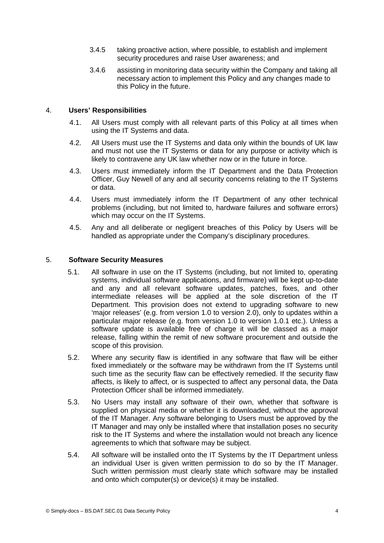- 3.4.5 taking proactive action, where possible, to establish and implement security procedures and raise User awareness; and
- 3.4.6 assisting in monitoring data security within the Company and taking all necessary action to implement this Policy and any changes made to this Policy in the future.

# 4. **Users' Responsibilities**

- 4.1. All Users must comply with all relevant parts of this Policy at all times when using the IT Systems and data.
- 4.2. All Users must use the IT Systems and data only within the bounds of UK law and must not use the IT Systems or data for any purpose or activity which is likely to contravene any UK law whether now or in the future in force.
- 4.3. Users must immediately inform the IT Department and the Data Protection Officer, Guy Newell of any and all security concerns relating to the IT Systems or data.
- 4.4. Users must immediately inform the IT Department of any other technical problems (including, but not limited to, hardware failures and software errors) which may occur on the IT Systems.
- 4.5. Any and all deliberate or negligent breaches of this Policy by Users will be handled as appropriate under the Company's disciplinary procedures.

#### 5. **Software Security Measures**

- 5.1. All software in use on the IT Systems (including, but not limited to, operating systems, individual software applications, and firmware) will be kept up-to-date and any and all relevant software updates, patches, fixes, and other intermediate releases will be applied at the sole discretion of the IT Department. This provision does not extend to upgrading software to new 'major releases' (e.g. from version 1.0 to version 2.0), only to updates within a particular major release (e.g. from version 1.0 to version 1.0.1 etc.). Unless a software update is available free of charge it will be classed as a major release, falling within the remit of new software procurement and outside the scope of this provision.
- 5.2. Where any security flaw is identified in any software that flaw will be either fixed immediately or the software may be withdrawn from the IT Systems until such time as the security flaw can be effectively remedied. If the security flaw affects, is likely to affect, or is suspected to affect any personal data, the Data Protection Officer shall be informed immediately.
- 5.3. No Users may install any software of their own, whether that software is supplied on physical media or whether it is downloaded, without the approval of the IT Manager. Any software belonging to Users must be approved by the IT Manager and may only be installed where that installation poses no security risk to the IT Systems and where the installation would not breach any licence agreements to which that software may be subject.
- 5.4. All software will be installed onto the IT Systems by the IT Department unless an individual User is given written permission to do so by the IT Manager. Such written permission must clearly state which software may be installed and onto which computer(s) or device(s) it may be installed.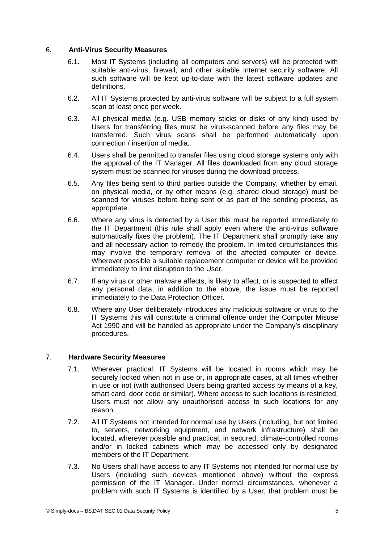## 6. **Anti-Virus Security Measures**

- 6.1. Most IT Systems (including all computers and servers) will be protected with suitable anti-virus, firewall, and other suitable internet security software. All such software will be kept up-to-date with the latest software updates and definitions.
- 6.2. All IT Systems protected by anti-virus software will be subject to a full system scan at least once per week.
- 6.3. All physical media (e.g. USB memory sticks or disks of any kind) used by Users for transferring files must be virus-scanned before any files may be transferred. Such virus scans shall be performed automatically upon connection / insertion of media.
- 6.4. Users shall be permitted to transfer files using cloud storage systems only with the approval of the IT Manager. All files downloaded from any cloud storage system must be scanned for viruses during the download process.
- 6.5. Any files being sent to third parties outside the Company, whether by email, on physical media, or by other means (e.g. shared cloud storage) must be scanned for viruses before being sent or as part of the sending process, as appropriate.
- 6.6. Where any virus is detected by a User this must be reported immediately to the IT Department (this rule shall apply even where the anti-virus software automatically fixes the problem). The IT Department shall promptly take any and all necessary action to remedy the problem. In limited circumstances this may involve the temporary removal of the affected computer or device. Wherever possible a suitable replacement computer or device will be provided immediately to limit disruption to the User.
- 6.7. If any virus or other malware affects, is likely to affect, or is suspected to affect any personal data, in addition to the above, the issue must be reported immediately to the Data Protection Officer.
- 6.8. Where any User deliberately introduces any malicious software or virus to the IT Systems this will constitute a criminal offence under the Computer Misuse Act 1990 and will be handled as appropriate under the Company's disciplinary procedures.

# 7. **Hardware Security Measures**

- 7.1. Wherever practical, IT Systems will be located in rooms which may be securely locked when not in use or, in appropriate cases, at all times whether in use or not (with authorised Users being granted access by means of a key, smart card, door code or similar). Where access to such locations is restricted, Users must not allow any unauthorised access to such locations for any reason.
- 7.2. All IT Systems not intended for normal use by Users (including, but not limited to, servers, networking equipment, and network infrastructure) shall be located, wherever possible and practical, in secured, climate-controlled rooms and/or in locked cabinets which may be accessed only by designated members of the IT Department.
- 7.3. No Users shall have access to any IT Systems not intended for normal use by Users (including such devices mentioned above) without the express permission of the IT Manager. Under normal circumstances, whenever a problem with such IT Systems is identified by a User, that problem must be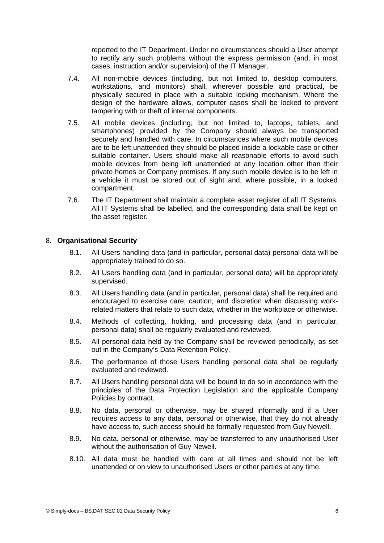reported to the IT Department. Under no circumstances should a User attempt to rectify any such problems without the express permission (and, in most cases, instruction and/or supervision) of the IT Manager.

- 7.4. All non-mobile devices (including, but not limited to, desktop computers, workstations, and monitors) shall, wherever possible and practical, be physically secured in place with a suitable locking mechanism. Where the design of the hardware allows, computer cases shall be locked to prevent tampering with or theft of internal components.
- 7.5. All mobile devices (including, but not limited to, laptops, tablets, and smartphones) provided by the Company should always be transported securely and handled with care. In circumstances where such mobile devices are to be left unattended they should be placed inside a lockable case or other suitable container. Users should make all reasonable efforts to avoid such mobile devices from being left unattended at any location other than their private homes or Company premises. If any such mobile device is to be left in a vehicle it must be stored out of sight and, where possible, in a locked compartment.
- 7.6. The IT Department shall maintain a complete asset register of all IT Systems. All IT Systems shall be labelled, and the corresponding data shall be kept on the asset register.

#### 8. **Organisational Security**

- 8.1. All Users handling data (and in particular, personal data) personal data will be appropriately trained to do so.
- 8.2. All Users handling data (and in particular, personal data) will be appropriately supervised.
- 8.3. All Users handling data (and in particular, personal data) shall be required and encouraged to exercise care, caution, and discretion when discussing workrelated matters that relate to such data, whether in the workplace or otherwise.
- 8.4. Methods of collecting, holding, and processing data (and in particular, personal data) shall be regularly evaluated and reviewed.
- 8.5. All personal data held by the Company shall be reviewed periodically, as set out in the Company's Data Retention Policy.
- 8.6. The performance of those Users handling personal data shall be regularly evaluated and reviewed.
- 8.7. All Users handling personal data will be bound to do so in accordance with the principles of the Data Protection Legislation and the applicable Company Policies by contract.
- 8.8. No data, personal or otherwise, may be shared informally and if a User requires access to any data, personal or otherwise, that they do not already have access to, such access should be formally requested from Guy Newell.
- 8.9. No data, personal or otherwise, may be transferred to any unauthorised User without the authorisation of Guy Newell.
- 8.10. All data must be handled with care at all times and should not be left unattended or on view to unauthorised Users or other parties at any time.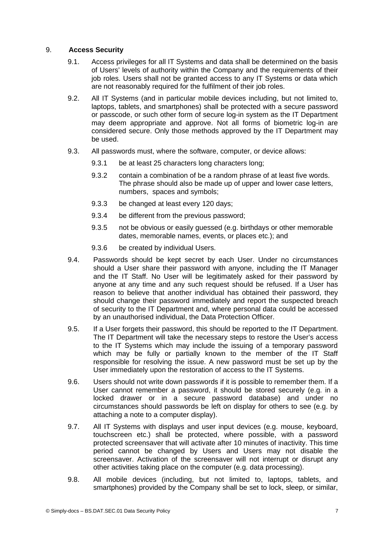# 9. **Access Security**

- 9.1. Access privileges for all IT Systems and data shall be determined on the basis of Users' levels of authority within the Company and the requirements of their job roles. Users shall not be granted access to any IT Systems or data which are not reasonably required for the fulfilment of their job roles.
- 9.2. All IT Systems (and in particular mobile devices including, but not limited to, laptops, tablets, and smartphones) shall be protected with a secure password or passcode, or such other form of secure log-in system as the IT Department may deem appropriate and approve. Not all forms of biometric log-in are considered secure. Only those methods approved by the IT Department may be used.
- 9.3. All passwords must, where the software, computer, or device allows:
	- 9.3.1 be at least 25 characters long characters long;
	- 9.3.2 contain a combination of be a random phrase of at least five words. The phrase should also be made up of upper and lower case letters, numbers, spaces and symbols;
	- 9.3.3 be changed at least every 120 days;
	- 9.3.4 be different from the previous password;
	- 9.3.5 not be obvious or easily guessed (e.g. birthdays or other memorable dates, memorable names, events, or places etc.); and
	- 9.3.6 be created by individual Users.
- 9.4. Passwords should be kept secret by each User. Under no circumstances should a User share their password with anyone, including the IT Manager and the IT Staff. No User will be legitimately asked for their password by anyone at any time and any such request should be refused. If a User has reason to believe that another individual has obtained their password, they should change their password immediately and report the suspected breach of security to the IT Department and, where personal data could be accessed by an unauthorised individual, the Data Protection Officer.
- 9.5. If a User forgets their password, this should be reported to the IT Department. The IT Department will take the necessary steps to restore the User's access to the IT Systems which may include the issuing of a temporary password which may be fully or partially known to the member of the IT Staff responsible for resolving the issue. A new password must be set up by the User immediately upon the restoration of access to the IT Systems.
- 9.6. Users should not write down passwords if it is possible to remember them. If a User cannot remember a password, it should be stored securely (e.g. in a locked drawer or in a secure password database) and under no circumstances should passwords be left on display for others to see (e.g. by attaching a note to a computer display).
- 9.7. All IT Systems with displays and user input devices (e.g. mouse, keyboard, touchscreen etc.) shall be protected, where possible, with a password protected screensaver that will activate after 10 minutes of inactivity. This time period cannot be changed by Users and Users may not disable the screensaver. Activation of the screensaver will not interrupt or disrupt any other activities taking place on the computer (e.g. data processing).
- 9.8. All mobile devices (including, but not limited to, laptops, tablets, and smartphones) provided by the Company shall be set to lock, sleep, or similar,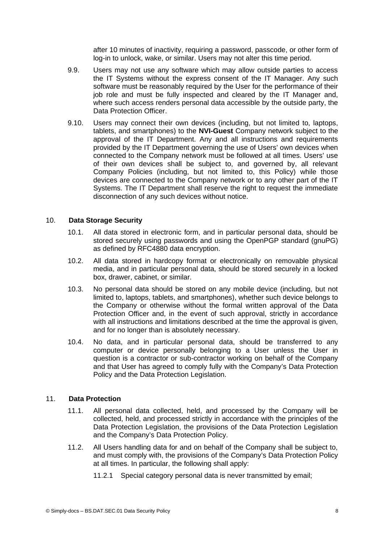after 10 minutes of inactivity, requiring a password, passcode, or other form of log-in to unlock, wake, or similar. Users may not alter this time period.

- 9.9. Users may not use any software which may allow outside parties to access the IT Systems without the express consent of the IT Manager. Any such software must be reasonably required by the User for the performance of their job role and must be fully inspected and cleared by the IT Manager and, where such access renders personal data accessible by the outside party, the Data Protection Officer.
- 9.10. Users may connect their own devices (including, but not limited to, laptops, tablets, and smartphones) to the **NVI-Guest** Company network subject to the approval of the IT Department. Any and all instructions and requirements provided by the IT Department governing the use of Users' own devices when connected to the Company network must be followed at all times. Users' use of their own devices shall be subject to, and governed by, all relevant Company Policies (including, but not limited to, this Policy) while those devices are connected to the Company network or to any other part of the IT Systems. The IT Department shall reserve the right to request the immediate disconnection of any such devices without notice.

#### 10. **Data Storage Security**

- 10.1. All data stored in electronic form, and in particular personal data, should be stored securely using passwords and using the OpenPGP standard (gnuPG) as defined by RFC4880 data encryption.
- 10.2. All data stored in hardcopy format or electronically on removable physical media, and in particular personal data, should be stored securely in a locked box, drawer, cabinet, or similar.
- 10.3. No personal data should be stored on any mobile device (including, but not limited to, laptops, tablets, and smartphones), whether such device belongs to the Company or otherwise without the formal written approval of the Data Protection Officer and, in the event of such approval, strictly in accordance with all instructions and limitations described at the time the approval is given, and for no longer than is absolutely necessary.
- 10.4. No data, and in particular personal data, should be transferred to any computer or device personally belonging to a User unless the User in question is a contractor or sub-contractor working on behalf of the Company and that User has agreed to comply fully with the Company's Data Protection Policy and the Data Protection Legislation.

#### 11. **Data Protection**

- 11.1. All personal data collected, held, and processed by the Company will be collected, held, and processed strictly in accordance with the principles of the Data Protection Legislation, the provisions of the Data Protection Legislation and the Company's Data Protection Policy.
- 11.2. All Users handling data for and on behalf of the Company shall be subject to, and must comply with, the provisions of the Company's Data Protection Policy at all times. In particular, the following shall apply:
	- 11.2.1 Special category personal data is never transmitted by email;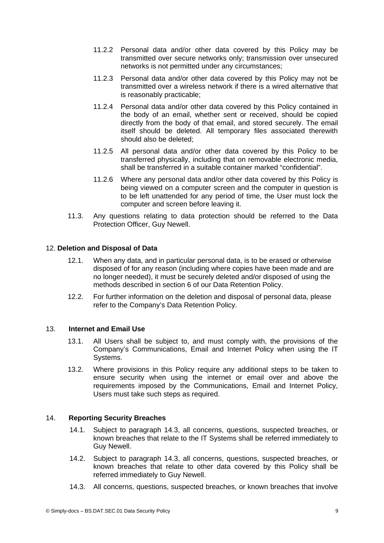- 11.2.2 Personal data and/or other data covered by this Policy may be transmitted over secure networks only; transmission over unsecured networks is not permitted under any circumstances;
- 11.2.3 Personal data and/or other data covered by this Policy may not be transmitted over a wireless network if there is a wired alternative that is reasonably practicable;
- 11.2.4 Personal data and/or other data covered by this Policy contained in the body of an email, whether sent or received, should be copied directly from the body of that email, and stored securely. The email itself should be deleted. All temporary files associated therewith should also be deleted;
- 11.2.5 All personal data and/or other data covered by this Policy to be transferred physically, including that on removable electronic media, shall be transferred in a suitable container marked "confidential".
- 11.2.6 Where any personal data and/or other data covered by this Policy is being viewed on a computer screen and the computer in question is to be left unattended for any period of time, the User must lock the computer and screen before leaving it.
- 11.3. Any questions relating to data protection should be referred to the Data Protection Officer, Guy Newell.

# 12. **Deletion and Disposal of Data**

- 12.1. When any data, and in particular personal data, is to be erased or otherwise disposed of for any reason (including where copies have been made and are no longer needed), it must be securely deleted and/or disposed of using the methods described in section 6 of our Data Retention Policy.
- 12.2. For further information on the deletion and disposal of personal data, please refer to the Company's Data Retention Policy.

# 13. **Internet and Email Use**

- 13.1. All Users shall be subject to, and must comply with, the provisions of the Company's Communications, Email and Internet Policy when using the IT Systems.
- 13.2. Where provisions in this Policy require any additional steps to be taken to ensure security when using the internet or email over and above the requirements imposed by the Communications, Email and Internet Policy, Users must take such steps as required.

# 14. **Reporting Security Breaches**

- 14.1. Subject to paragraph 14.3, all concerns, questions, suspected breaches, or known breaches that relate to the IT Systems shall be referred immediately to Guy Newell.
- 14.2. Subject to paragraph 14.3, all concerns, questions, suspected breaches, or known breaches that relate to other data covered by this Policy shall be referred immediately to Guy Newell.
- 14.3. All concerns, questions, suspected breaches, or known breaches that involve